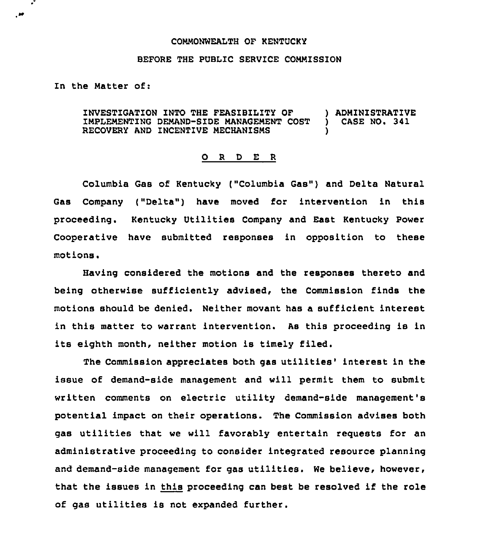#### COMMONWEALTH OF KENTUCKY

## BEFORE THE PUBLIC SERVICE COMMISSION

### In the Matter of:

 $\cdot$ 

ه.

INVESTIGATION INTO THE FEAS1BILITY OF ) ADMINISTRATIVE IMPLEMENTING DEMAND-SIDE MANAGEMENT COST RECOVERY AND INCENTIVE MECHANISMS

#### O R D E R

Columbia Gas of Kentucky ("Columbia Gas") and Delta Natural Gas Company ("Delta") have moved for intervention in this proceeding. Kentucky Utilities Company and East Kentucky Power Cooperative have submitted responses in opposition to these motions.

Having considered the motions and the responses thereto and being otherwise sufficiently advised, the Commission finds the motions should be denied. Neither movant has a sufficient interest in this matter to warrant intervention. As this proceeding is in its eighth month, neither motion is timely filed.

The Commission appreciates both gas utilities' interest in the issue of demand-side management and will permit them to submit written comments on electric utility demand-side management'8 potential impact on their operations. The Commission advises both gas utilities that we will favorably entertain requests for an administrative proceeding to consider integrated resource planning and demand-side management for qas utilities. We believe, however, that the issues in this proceeding can best be resolved if the role of gas utilities is not expanded further.